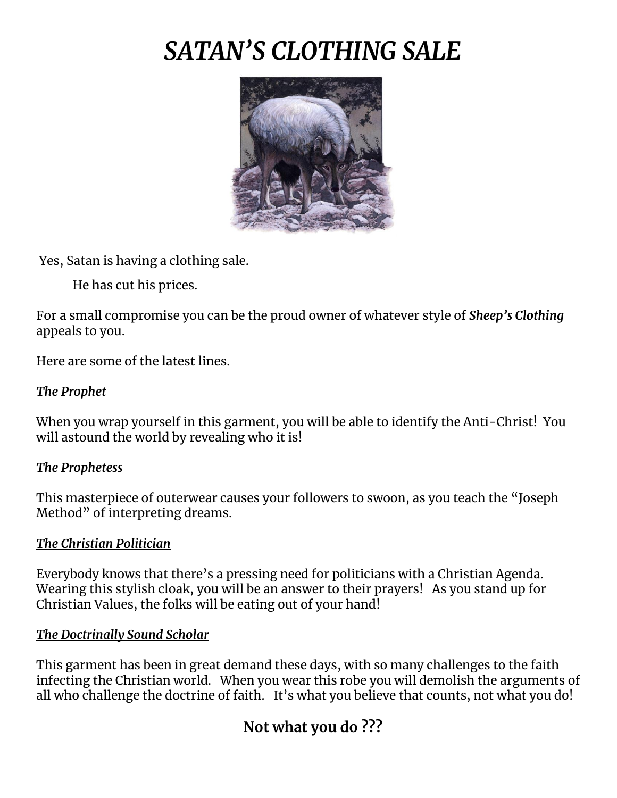# *SATAN'S CLOTHING SALE*



Yes, Satan is having a clothing sale.

He has cut his prices.

For a small compromise you can be the proud owner of whatever style of *Sheep's Clothing* appeals to you.

Here are some of the latest lines.

### *The Prophet*

When you wrap yourself in this garment, you will be able to identify the Anti-Christ! You will astound the world by revealing who it is!

#### *The Prophetess*

This masterpiece of outerwear causes your followers to swoon, as you teach the "Joseph Method" of interpreting dreams.

#### *The Christian Politician*

Everybody knows that there's a pressing need for politicians with a Christian Agenda. Wearing this stylish cloak, you will be an answer to their prayers! As you stand up for Christian Values, the folks will be eating out of your hand!

#### *The Doctrinally Sound Scholar*

This garment has been in great demand these days, with so many challenges to the faith infecting the Christian world. When you wear this robe you will demolish the arguments of all who challenge the doctrine of faith. It's what you believe that counts, not what you do!

## **Not what you do ???**